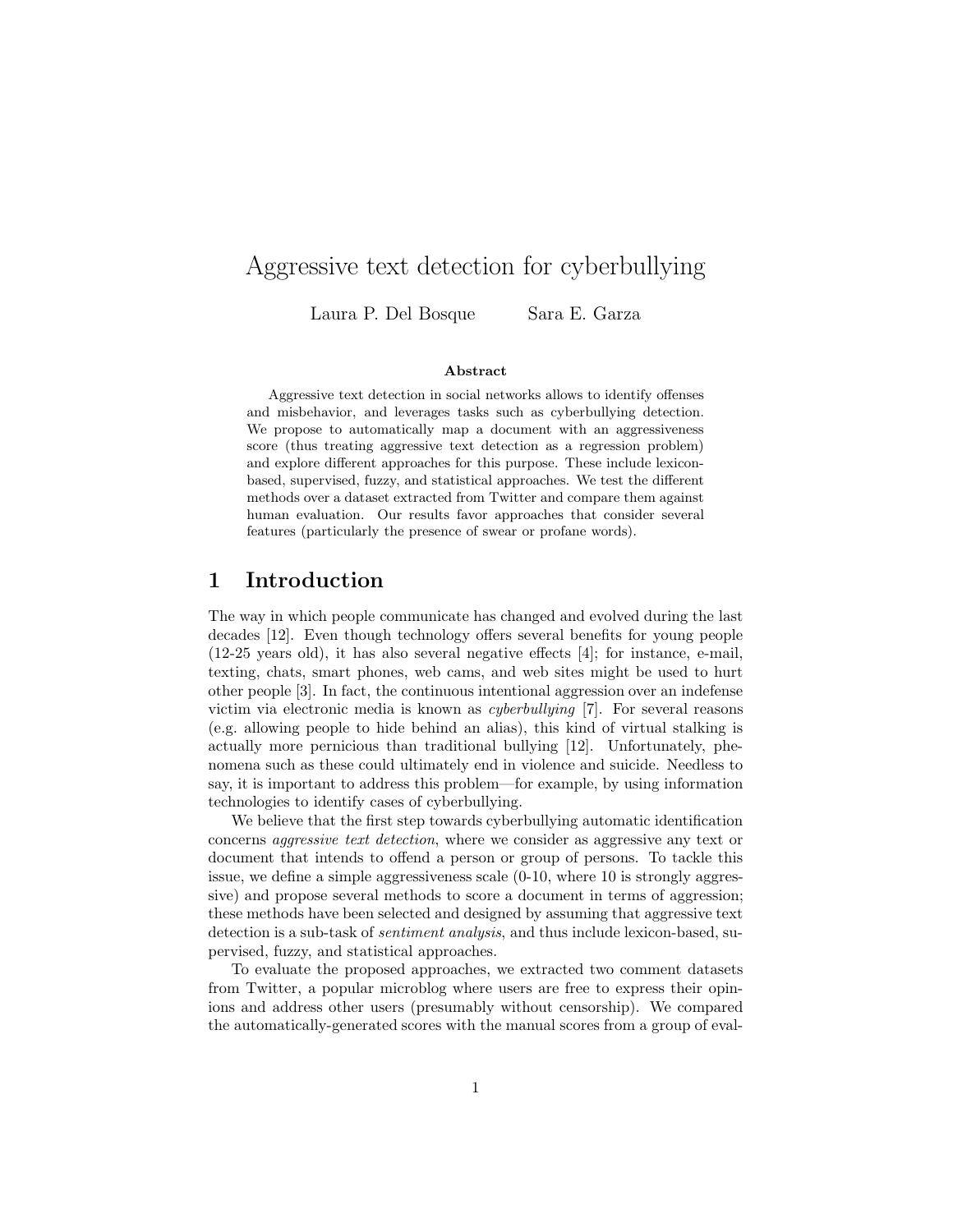# Aggressive text detection for cyberbullying

Laura P. Del Bosque Sara E. Garza

#### Abstract

Aggressive text detection in social networks allows to identify offenses and misbehavior, and leverages tasks such as cyberbullying detection. We propose to automatically map a document with an aggressiveness score (thus treating aggressive text detection as a regression problem) and explore different approaches for this purpose. These include lexiconbased, supervised, fuzzy, and statistical approaches. We test the different methods over a dataset extracted from Twitter and compare them against human evaluation. Our results favor approaches that consider several features (particularly the presence of swear or profane words).

# 1 Introduction

The way in which people communicate has changed and evolved during the last decades [12]. Even though technology offers several benefits for young people (12-25 years old), it has also several negative effects [4]; for instance, e-mail, texting, chats, smart phones, web cams, and web sites might be used to hurt other people [3]. In fact, the continuous intentional aggression over an indefense victim via electronic media is known as cyberbullying [7]. For several reasons (e.g. allowing people to hide behind an alias), this kind of virtual stalking is actually more pernicious than traditional bullying [12]. Unfortunately, phenomena such as these could ultimately end in violence and suicide. Needless to say, it is important to address this problem—for example, by using information technologies to identify cases of cyberbullying.

We believe that the first step towards cyberbullying automatic identification concerns aggressive text detection, where we consider as aggressive any text or document that intends to offend a person or group of persons. To tackle this issue, we define a simple aggressiveness scale (0-10, where 10 is strongly aggressive) and propose several methods to score a document in terms of aggression; these methods have been selected and designed by assuming that aggressive text detection is a sub-task of sentiment analysis, and thus include lexicon-based, supervised, fuzzy, and statistical approaches.

To evaluate the proposed approaches, we extracted two comment datasets from Twitter, a popular microblog where users are free to express their opinions and address other users (presumably without censorship). We compared the automatically-generated scores with the manual scores from a group of eval-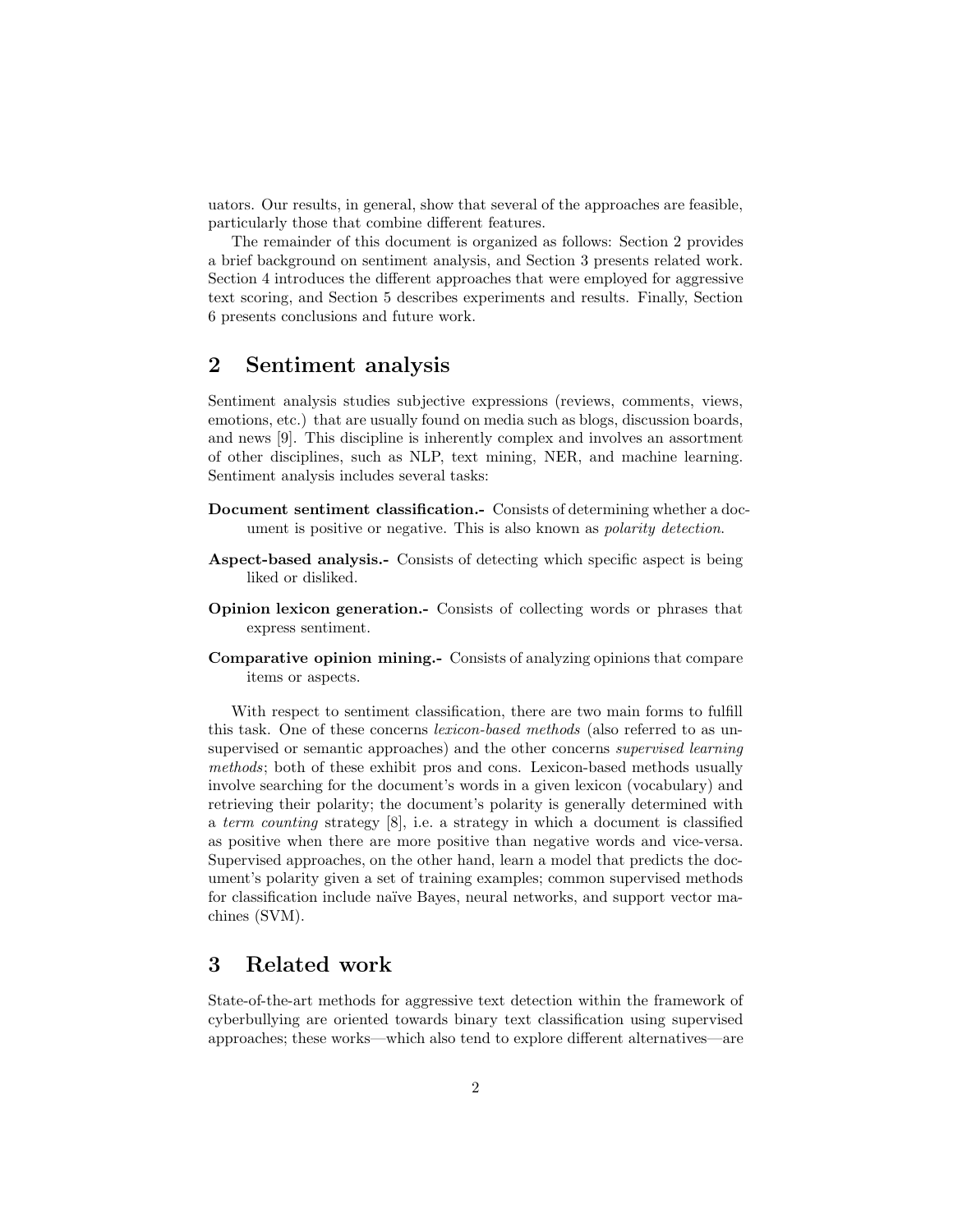uators. Our results, in general, show that several of the approaches are feasible, particularly those that combine different features.

The remainder of this document is organized as follows: Section 2 provides a brief background on sentiment analysis, and Section 3 presents related work. Section 4 introduces the different approaches that were employed for aggressive text scoring, and Section 5 describes experiments and results. Finally, Section 6 presents conclusions and future work.

### 2 Sentiment analysis

Sentiment analysis studies subjective expressions (reviews, comments, views, emotions, etc.) that are usually found on media such as blogs, discussion boards, and news [9]. This discipline is inherently complex and involves an assortment of other disciplines, such as NLP, text mining, NER, and machine learning. Sentiment analysis includes several tasks:

- Document sentiment classification.- Consists of determining whether a document is positive or negative. This is also known as *polarity detection*.
- Aspect-based analysis.- Consists of detecting which specific aspect is being liked or disliked.
- Opinion lexicon generation.- Consists of collecting words or phrases that express sentiment.
- Comparative opinion mining.- Consists of analyzing opinions that compare items or aspects.

With respect to sentiment classification, there are two main forms to fulfill this task. One of these concerns lexicon-based methods (also referred to as unsupervised or semantic approaches) and the other concerns supervised learning methods; both of these exhibit pros and cons. Lexicon-based methods usually involve searching for the document's words in a given lexicon (vocabulary) and retrieving their polarity; the document's polarity is generally determined with a term counting strategy [8], i.e. a strategy in which a document is classified as positive when there are more positive than negative words and vice-versa. Supervised approaches, on the other hand, learn a model that predicts the document's polarity given a set of training examples; common supervised methods for classification include naïve Bayes, neural networks, and support vector machines (SVM).

# 3 Related work

State-of-the-art methods for aggressive text detection within the framework of cyberbullying are oriented towards binary text classification using supervised approaches; these works—which also tend to explore different alternatives—are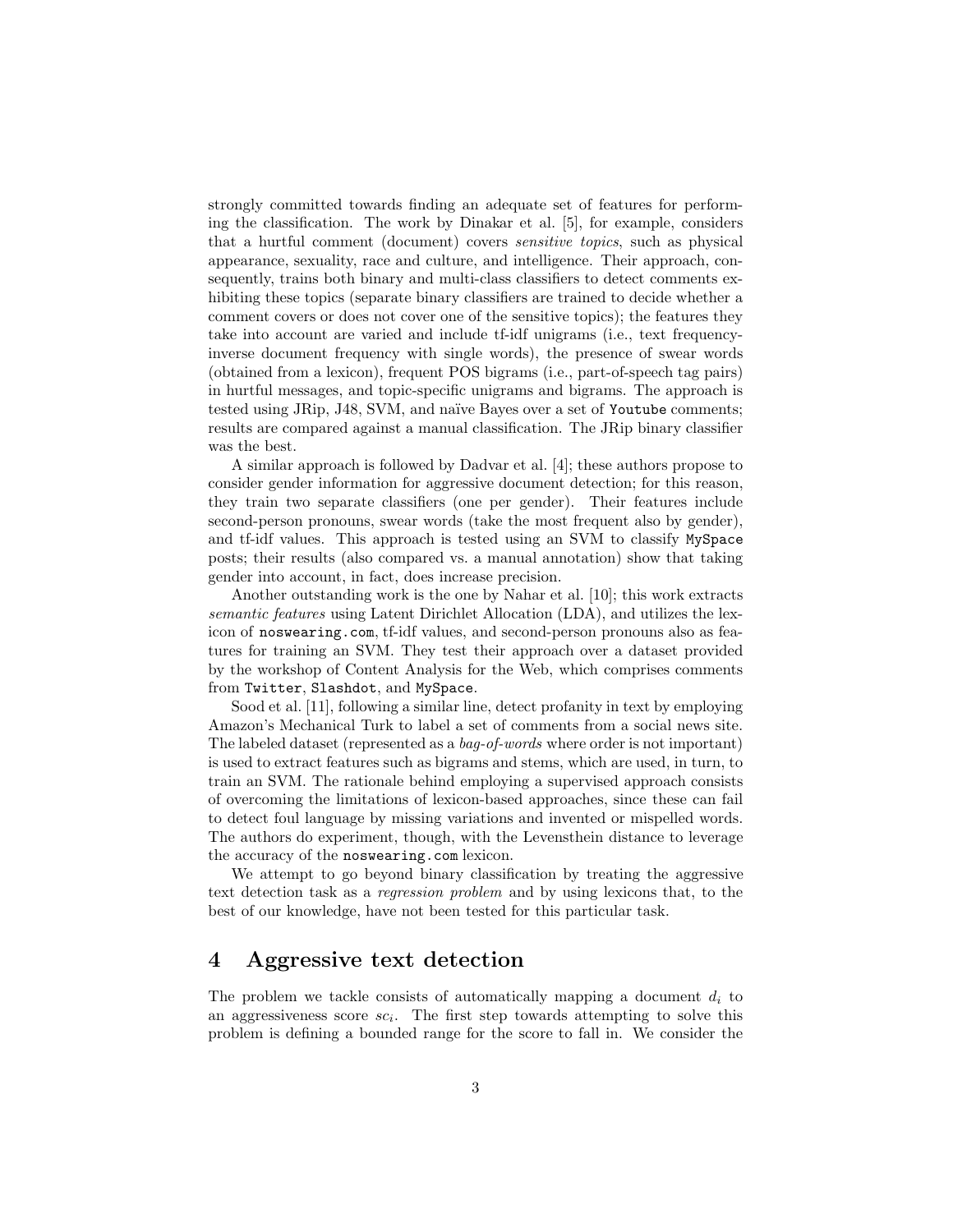strongly committed towards finding an adequate set of features for performing the classification. The work by Dinakar et al. [5], for example, considers that a hurtful comment (document) covers sensitive topics, such as physical appearance, sexuality, race and culture, and intelligence. Their approach, consequently, trains both binary and multi-class classifiers to detect comments exhibiting these topics (separate binary classifiers are trained to decide whether a comment covers or does not cover one of the sensitive topics); the features they take into account are varied and include tf-idf unigrams (i.e., text frequencyinverse document frequency with single words), the presence of swear words (obtained from a lexicon), frequent POS bigrams (i.e., part-of-speech tag pairs) in hurtful messages, and topic-specific unigrams and bigrams. The approach is tested using JRip, J48, SVM, and naïve Bayes over a set of Youtube comments; results are compared against a manual classification. The JRip binary classifier was the best.

A similar approach is followed by Dadvar et al. [4]; these authors propose to consider gender information for aggressive document detection; for this reason, they train two separate classifiers (one per gender). Their features include second-person pronouns, swear words (take the most frequent also by gender), and tf-idf values. This approach is tested using an SVM to classify MySpace posts; their results (also compared vs. a manual annotation) show that taking gender into account, in fact, does increase precision.

Another outstanding work is the one by Nahar et al. [10]; this work extracts semantic features using Latent Dirichlet Allocation (LDA), and utilizes the lexicon of noswearing.com, tf-idf values, and second-person pronouns also as features for training an SVM. They test their approach over a dataset provided by the workshop of Content Analysis for the Web, which comprises comments from Twitter, Slashdot, and MySpace.

Sood et al. [11], following a similar line, detect profanity in text by employing Amazon's Mechanical Turk to label a set of comments from a social news site. The labeled dataset (represented as a bag-of-words where order is not important) is used to extract features such as bigrams and stems, which are used, in turn, to train an SVM. The rationale behind employing a supervised approach consists of overcoming the limitations of lexicon-based approaches, since these can fail to detect foul language by missing variations and invented or mispelled words. The authors do experiment, though, with the Levensthein distance to leverage the accuracy of the noswearing.com lexicon.

We attempt to go beyond binary classification by treating the aggressive text detection task as a regression problem and by using lexicons that, to the best of our knowledge, have not been tested for this particular task.

# 4 Aggressive text detection

The problem we tackle consists of automatically mapping a document  $d_i$  to an aggressiveness score  $sc_i$ . The first step towards attempting to solve this problem is defining a bounded range for the score to fall in. We consider the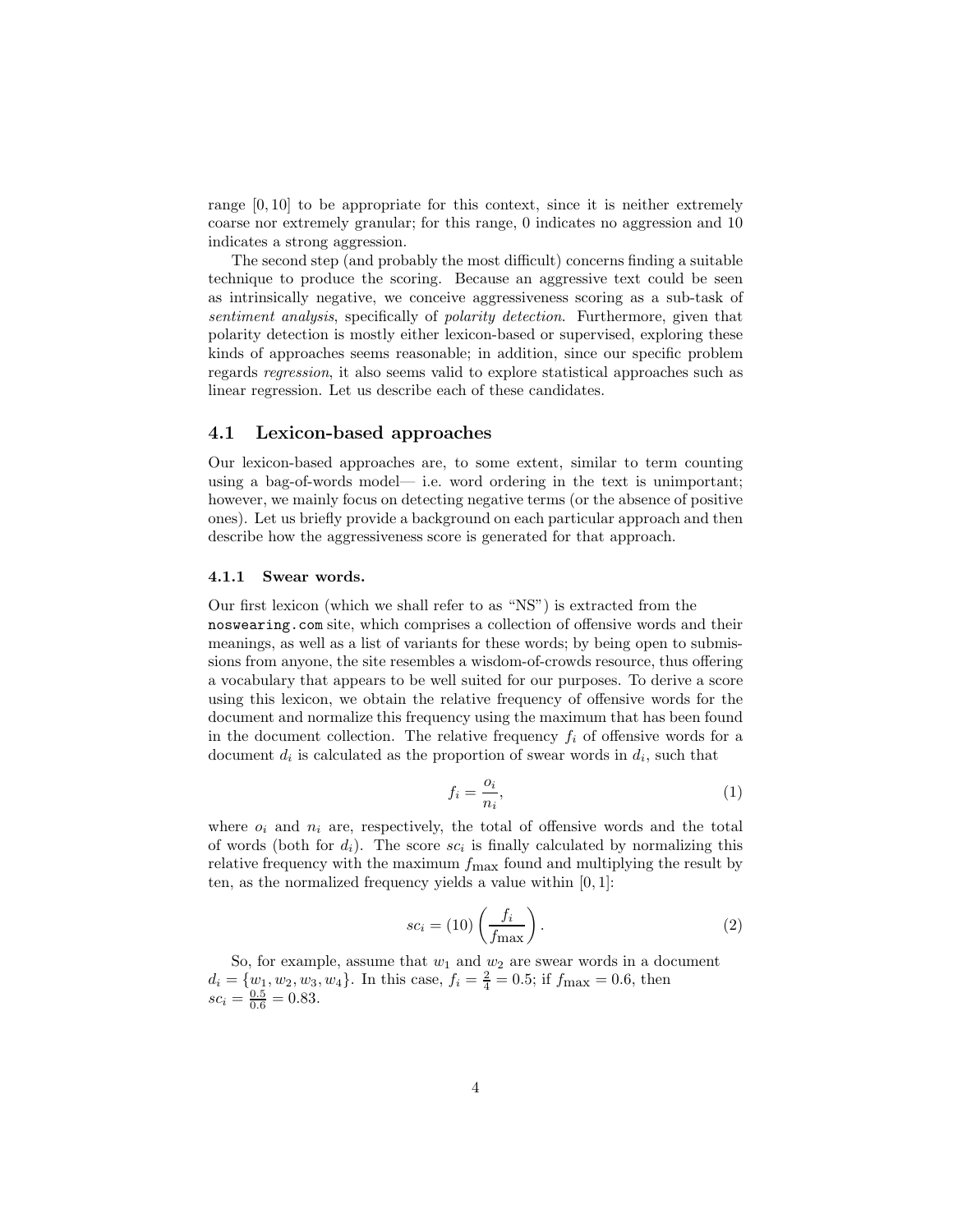range  $[0, 10]$  to be appropriate for this context, since it is neither extremely coarse nor extremely granular; for this range, 0 indicates no aggression and 10 indicates a strong aggression.

The second step (and probably the most difficult) concerns finding a suitable technique to produce the scoring. Because an aggressive text could be seen as intrinsically negative, we conceive aggressiveness scoring as a sub-task of sentiment analysis, specifically of polarity detection. Furthermore, given that polarity detection is mostly either lexicon-based or supervised, exploring these kinds of approaches seems reasonable; in addition, since our specific problem regards regression, it also seems valid to explore statistical approaches such as linear regression. Let us describe each of these candidates.

#### 4.1 Lexicon-based approaches

Our lexicon-based approaches are, to some extent, similar to term counting using a bag-of-words model— i.e. word ordering in the text is unimportant; however, we mainly focus on detecting negative terms (or the absence of positive ones). Let us briefly provide a background on each particular approach and then describe how the aggressiveness score is generated for that approach.

#### 4.1.1 Swear words.

Our first lexicon (which we shall refer to as "NS") is extracted from the noswearing.com site, which comprises a collection of offensive words and their meanings, as well as a list of variants for these words; by being open to submissions from anyone, the site resembles a wisdom-of-crowds resource, thus offering a vocabulary that appears to be well suited for our purposes. To derive a score using this lexicon, we obtain the relative frequency of offensive words for the document and normalize this frequency using the maximum that has been found in the document collection. The relative frequency  $f_i$  of offensive words for a document  $d_i$  is calculated as the proportion of swear words in  $d_i$ , such that

$$
f_i = \frac{o_i}{n_i},\tag{1}
$$

where  $o_i$  and  $n_i$  are, respectively, the total of offensive words and the total of words (both for  $d_i$ ). The score  $sc_i$  is finally calculated by normalizing this relative frequency with the maximum  $f_{\text{max}}$  found and multiplying the result by ten, as the normalized frequency yields a value within [0, 1]:

$$
sc_i = (10) \left(\frac{f_i}{f_{\text{max}}}\right). \tag{2}
$$

So, for example, assume that  $w_1$  and  $w_2$  are swear words in a document  $d_i = \{w_1, w_2, w_3, w_4\}.$  In this case,  $f_i = \frac{2}{4} = 0.5$ ; if  $f_{\text{max}} = 0.6$ , then  $sc_i = \frac{0.5}{0.6} = 0.83.$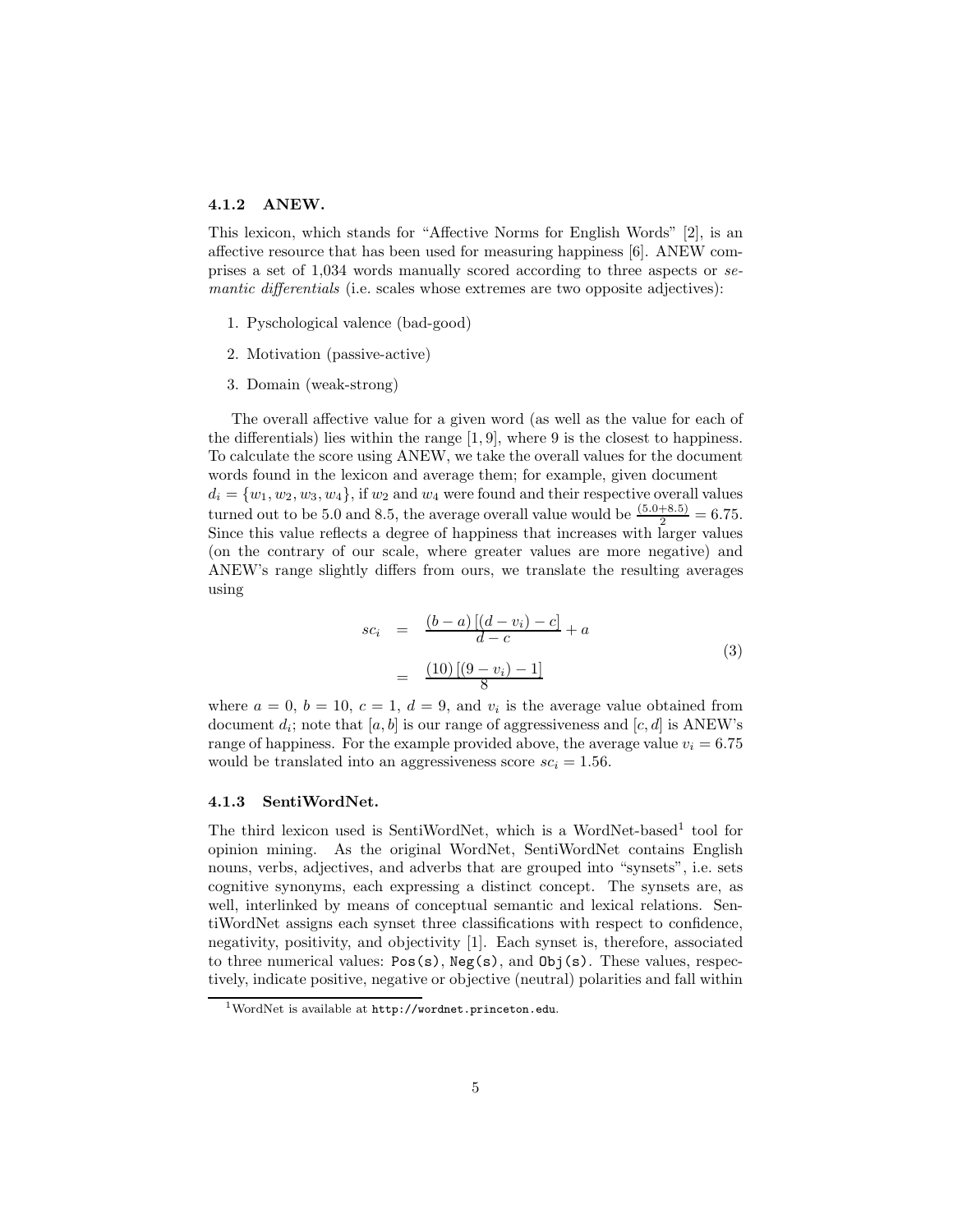#### 4.1.2 ANEW.

This lexicon, which stands for "Affective Norms for English Words" [2], is an affective resource that has been used for measuring happiness [6]. ANEW comprises a set of 1,034 words manually scored according to three aspects or semantic differentials (i.e. scales whose extremes are two opposite adjectives):

- 1. Pyschological valence (bad-good)
- 2. Motivation (passive-active)
- 3. Domain (weak-strong)

The overall affective value for a given word (as well as the value for each of the differentials) lies within the range [1, 9], where 9 is the closest to happiness. To calculate the score using ANEW, we take the overall values for the document words found in the lexicon and average them; for example, given document  $d_i = \{w_1, w_2, w_3, w_4\}$ , if  $w_2$  and  $w_4$  were found and their respective overall values turned out to be 5.0 and 8.5, the average overall value would be  $\frac{(5.0+8.5)}{2} = 6.75$ . Since this value reflects a degree of happiness that increases with larger values (on the contrary of our scale, where greater values are more negative) and ANEW's range slightly differs from ours, we translate the resulting averages using

$$
sc_{i} = \frac{(b-a)\left[(d-v_{i})-c\right]}{d-c} + a
$$
  
= 
$$
\frac{(10)\left[(9-v_{i})-1\right]}{8}
$$
 (3)

where  $a = 0, b = 10, c = 1, d = 9$ , and  $v_i$  is the average value obtained from document  $d_i$ ; note that  $[a, b]$  is our range of aggressiveness and  $[c, d]$  is ANEW's range of happiness. For the example provided above, the average value  $v_i = 6.75$ would be translated into an aggressiveness score  $sc_i = 1.56$ .

#### 4.1.3 SentiWordNet.

The third lexicon used is SentiWordNet, which is a WordNet-based<sup>1</sup> tool for opinion mining. As the original WordNet, SentiWordNet contains English nouns, verbs, adjectives, and adverbs that are grouped into "synsets", i.e. sets cognitive synonyms, each expressing a distinct concept. The synsets are, as well, interlinked by means of conceptual semantic and lexical relations. SentiWordNet assigns each synset three classifications with respect to confidence, negativity, positivity, and objectivity [1]. Each synset is, therefore, associated to three numerical values:  $Pos(s)$ ,  $Neg(s)$ , and  $Obj(s)$ . These values, respectively, indicate positive, negative or objective (neutral) polarities and fall within

<sup>1</sup>WordNet is available at http://wordnet.princeton.edu.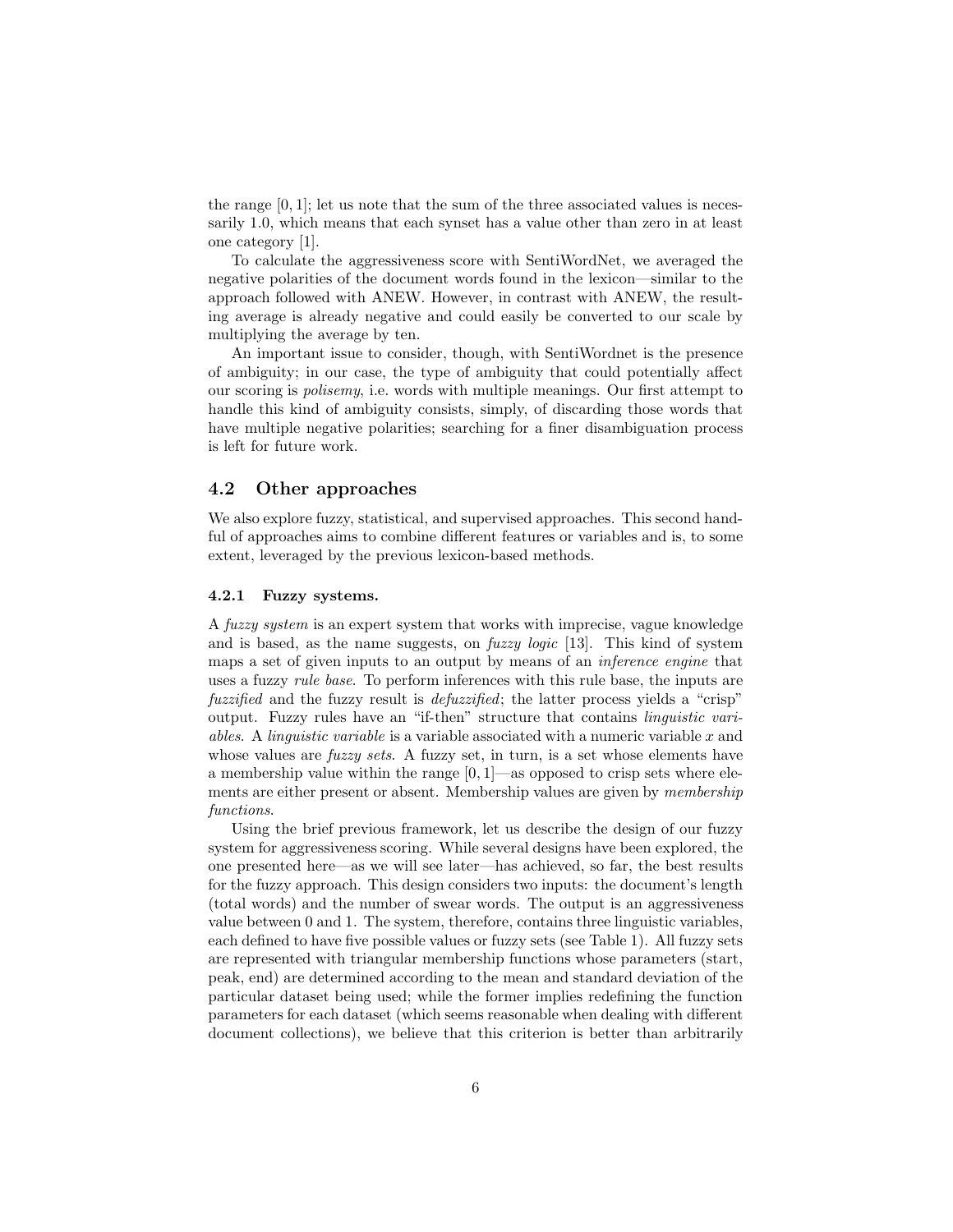the range  $[0, 1]$ ; let us note that the sum of the three associated values is necessarily 1.0, which means that each synset has a value other than zero in at least one category [1].

To calculate the aggressiveness score with SentiWordNet, we averaged the negative polarities of the document words found in the lexicon—similar to the approach followed with ANEW. However, in contrast with ANEW, the resulting average is already negative and could easily be converted to our scale by multiplying the average by ten.

An important issue to consider, though, with SentiWordnet is the presence of ambiguity; in our case, the type of ambiguity that could potentially affect our scoring is polisemy, i.e. words with multiple meanings. Our first attempt to handle this kind of ambiguity consists, simply, of discarding those words that have multiple negative polarities; searching for a finer disambiguation process is left for future work.

### 4.2 Other approaches

We also explore fuzzy, statistical, and supervised approaches. This second handful of approaches aims to combine different features or variables and is, to some extent, leveraged by the previous lexicon-based methods.

#### 4.2.1 Fuzzy systems.

A fuzzy system is an expert system that works with imprecise, vague knowledge and is based, as the name suggests, on  $fuzzy logic$  [13]. This kind of system maps a set of given inputs to an output by means of an inference engine that uses a fuzzy rule base. To perform inferences with this rule base, the inputs are fuzzified and the fuzzy result is defuzzified; the latter process yields a "crisp" output. Fuzzy rules have an "if-then" structure that contains linguistic variables. A *linguistic variable* is a variable associated with a numeric variable  $x$  and whose values are *fuzzy sets*. A fuzzy set, in turn, is a set whose elements have a membership value within the range  $[0, 1]$ —as opposed to crisp sets where elements are either present or absent. Membership values are given by membership functions.

Using the brief previous framework, let us describe the design of our fuzzy system for aggressiveness scoring. While several designs have been explored, the one presented here—as we will see later—has achieved, so far, the best results for the fuzzy approach. This design considers two inputs: the document's length (total words) and the number of swear words. The output is an aggressiveness value between 0 and 1. The system, therefore, contains three linguistic variables, each defined to have five possible values or fuzzy sets (see Table 1). All fuzzy sets are represented with triangular membership functions whose parameters (start, peak, end) are determined according to the mean and standard deviation of the particular dataset being used; while the former implies redefining the function parameters for each dataset (which seems reasonable when dealing with different document collections), we believe that this criterion is better than arbitrarily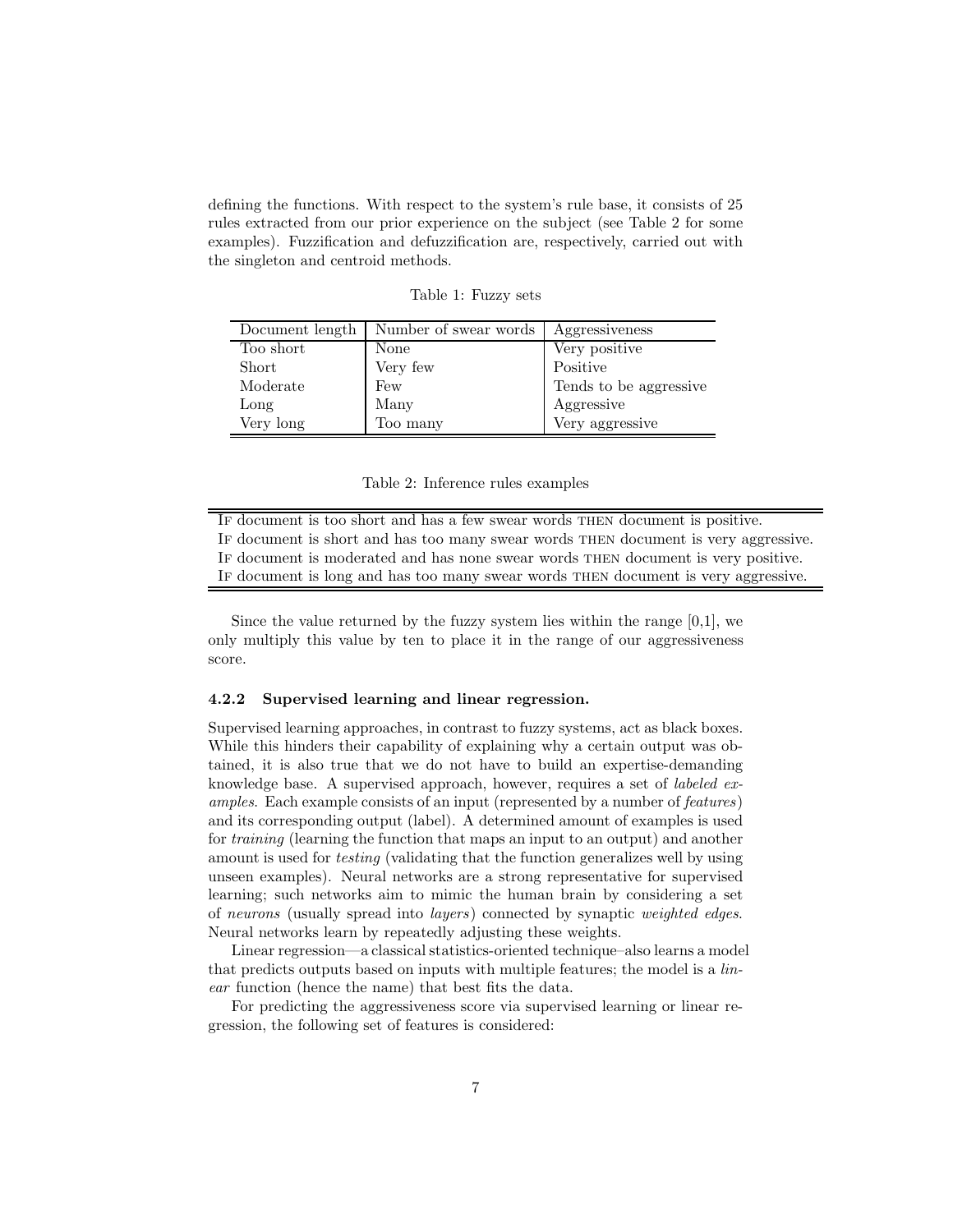defining the functions. With respect to the system's rule base, it consists of 25 rules extracted from our prior experience on the subject (see Table 2 for some examples). Fuzzification and defuzzification are, respectively, carried out with the singleton and centroid methods.

| Document length | Number of swear words | Aggressiveness         |
|-----------------|-----------------------|------------------------|
| Too short       | None                  | Very positive          |
| Short           | Very few              | Positive               |
| Moderate        | Few                   | Tends to be aggressive |
| Long            | Many                  | Aggressive             |
| Very long       | Too many              | Very aggressive        |

Table 1: Fuzzy sets

Table 2: Inference rules examples

If document is too short and has a few swear words then document is positive. If document is short and has too many swear words then document is very aggressive. If document is moderated and has none swear words then document is very positive. If document is long and has too many swear words then document is very aggressive.

Since the value returned by the fuzzy system lies within the range [0,1], we only multiply this value by ten to place it in the range of our aggressiveness score.

#### 4.2.2 Supervised learning and linear regression.

Supervised learning approaches, in contrast to fuzzy systems, act as black boxes. While this hinders their capability of explaining why a certain output was obtained, it is also true that we do not have to build an expertise-demanding knowledge base. A supervised approach, however, requires a set of labeled examples. Each example consists of an input (represented by a number of features) and its corresponding output (label). A determined amount of examples is used for training (learning the function that maps an input to an output) and another amount is used for testing (validating that the function generalizes well by using unseen examples). Neural networks are a strong representative for supervised learning; such networks aim to mimic the human brain by considering a set of neurons (usually spread into layers) connected by synaptic weighted edges. Neural networks learn by repeatedly adjusting these weights.

Linear regression—a classical statistics-oriented technique–also learns a model that predicts outputs based on inputs with multiple features; the model is a linear function (hence the name) that best fits the data.

For predicting the aggressiveness score via supervised learning or linear regression, the following set of features is considered: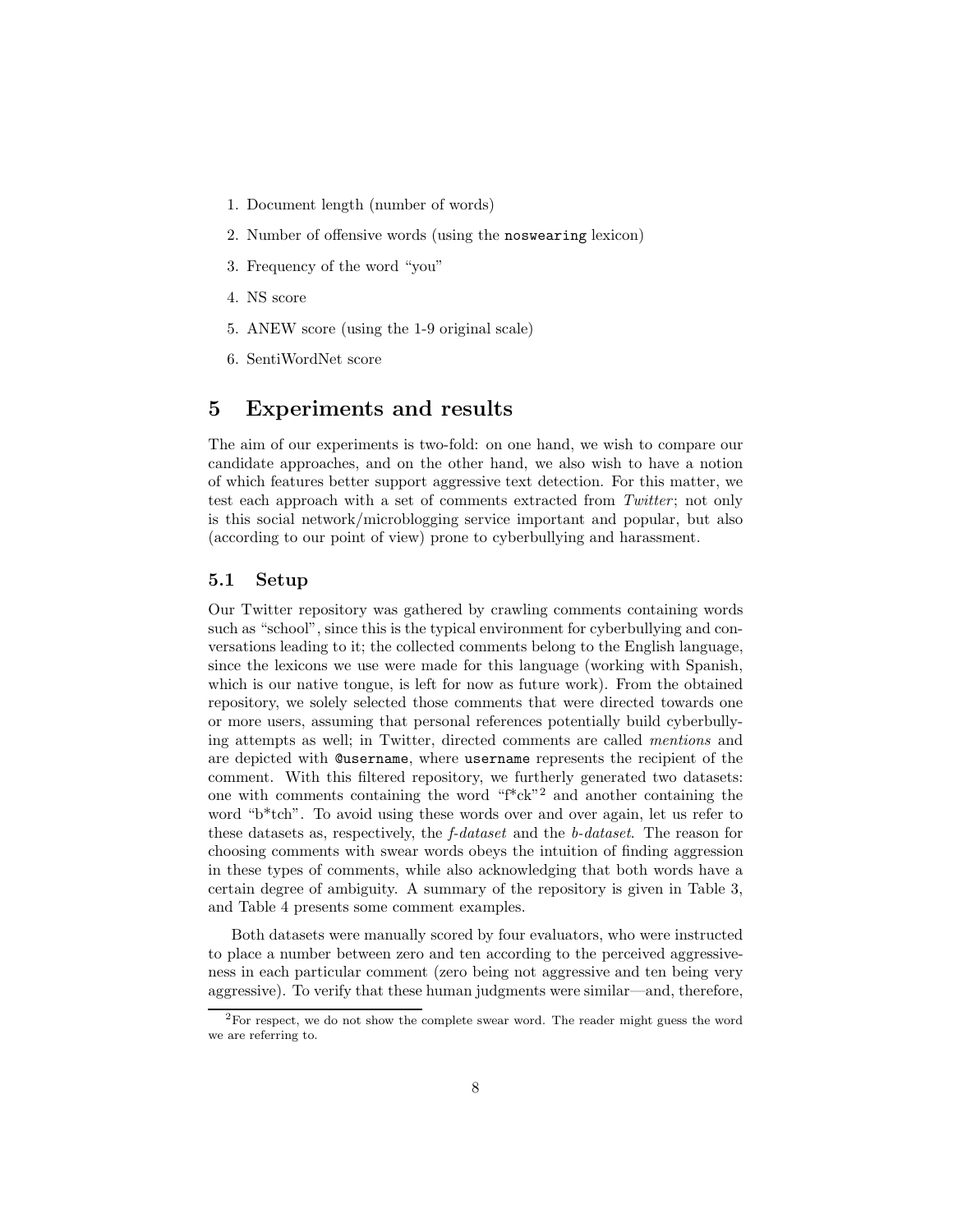- 1. Document length (number of words)
- 2. Number of offensive words (using the noswearing lexicon)
- 3. Frequency of the word "you"
- 4. NS score
- 5. ANEW score (using the 1-9 original scale)
- 6. SentiWordNet score

# 5 Experiments and results

The aim of our experiments is two-fold: on one hand, we wish to compare our candidate approaches, and on the other hand, we also wish to have a notion of which features better support aggressive text detection. For this matter, we test each approach with a set of comments extracted from Twitter; not only is this social network/microblogging service important and popular, but also (according to our point of view) prone to cyberbullying and harassment.

### 5.1 Setup

Our Twitter repository was gathered by crawling comments containing words such as "school", since this is the typical environment for cyberbullying and conversations leading to it; the collected comments belong to the English language, since the lexicons we use were made for this language (working with Spanish, which is our native tongue, is left for now as future work). From the obtained repository, we solely selected those comments that were directed towards one or more users, assuming that personal references potentially build cyberbullying attempts as well; in Twitter, directed comments are called mentions and are depicted with @username, where username represents the recipient of the comment. With this filtered repository, we furtherly generated two datasets: one with comments containing the word " $f^*ck$ " and another containing the word "b<sup>\*</sup>tch". To avoid using these words over and over again, let us refer to these datasets as, respectively, the f-dataset and the b-dataset. The reason for choosing comments with swear words obeys the intuition of finding aggression in these types of comments, while also acknowledging that both words have a certain degree of ambiguity. A summary of the repository is given in Table 3, and Table 4 presents some comment examples.

Both datasets were manually scored by four evaluators, who were instructed to place a number between zero and ten according to the perceived aggressiveness in each particular comment (zero being not aggressive and ten being very aggressive). To verify that these human judgments were similar—and, therefore,

<sup>&</sup>lt;sup>2</sup>For respect, we do not show the complete swear word. The reader might guess the word we are referring to.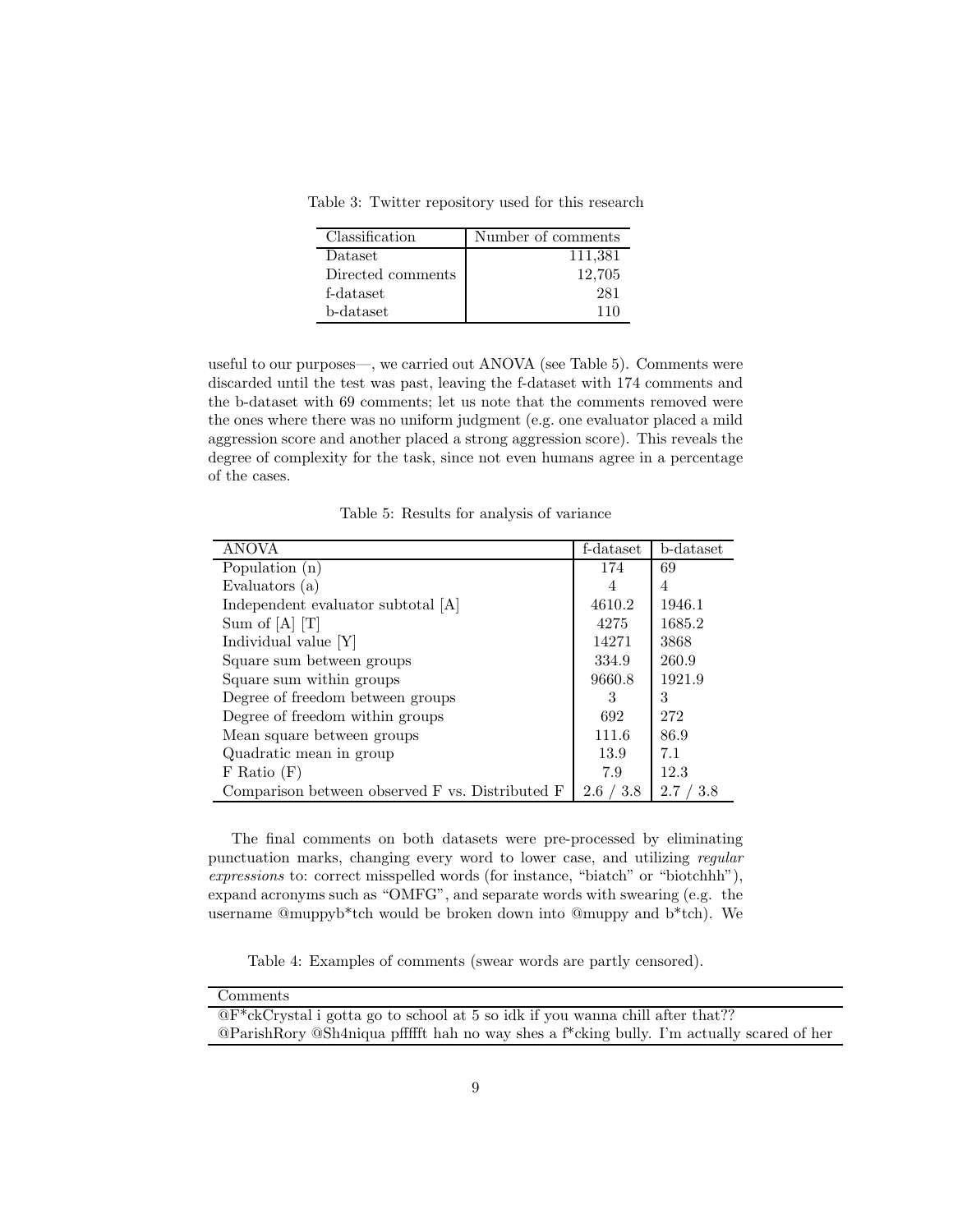Table 3: Twitter repository used for this research

| Classification    | Number of comments |
|-------------------|--------------------|
| Dataset           | 111,381            |
| Directed comments | 12,705             |
| f-dataset         | 281                |
| b-dataset         | 110                |

useful to our purposes—, we carried out ANOVA (see Table 5). Comments were discarded until the test was past, leaving the f-dataset with 174 comments and the b-dataset with 69 comments; let us note that the comments removed were the ones where there was no uniform judgment (e.g. one evaluator placed a mild aggression score and another placed a strong aggression score). This reveals the degree of complexity for the task, since not even humans agree in a percentage of the cases.

Table 5: Results for analysis of variance

| <b>ANOVA</b>                                    | f-dataset | b-dataset  |
|-------------------------------------------------|-----------|------------|
| Population $(n)$                                | 174       | 69         |
| Evaluators $(a)$                                | 4         | 4          |
| Independent evaluator subtotal [A]              | 4610.2    | 1946.1     |
| Sum of $[A]$ $[T]$                              | 4275      | 1685.2     |
| Individual value [Y]                            | 14271     | 3868       |
| Square sum between groups                       | 334.9     | 260.9      |
| Square sum within groups                        | 9660.8    | 1921.9     |
| Degree of freedom between groups                | 3         | 3          |
| Degree of freedom within groups                 | 692       | 272        |
| Mean square between groups                      | 111.6     | 86.9       |
| Quadratic mean in group                         | 13.9      | 7.1        |
| $F$ Ratio $(F)$                                 | 7.9       | 12.3       |
| Comparison between observed F vs. Distributed F | 2.6 / 3.8 | 3.8<br>2.7 |

The final comments on both datasets were pre-processed by eliminating punctuation marks, changing every word to lower case, and utilizing regular expressions to: correct misspelled words (for instance, "biatch" or "biotchhh"), expand acronyms such as "OMFG", and separate words with swearing (e.g. the username @muppyb\*tch would be broken down into @muppy and b\*tch). We

Table 4: Examples of comments (swear words are partly censored).

| Comments                                                                                                 |
|----------------------------------------------------------------------------------------------------------|
| $\mathbb{Q}F^*$ ckCrystal i gotta go to school at 5 so idk if you wanna chill after that??               |
| $@ParishRory @Sh4niqua$ pffffft hah no way shes a f <sup>*</sup> cking bully. I'm actually scared of her |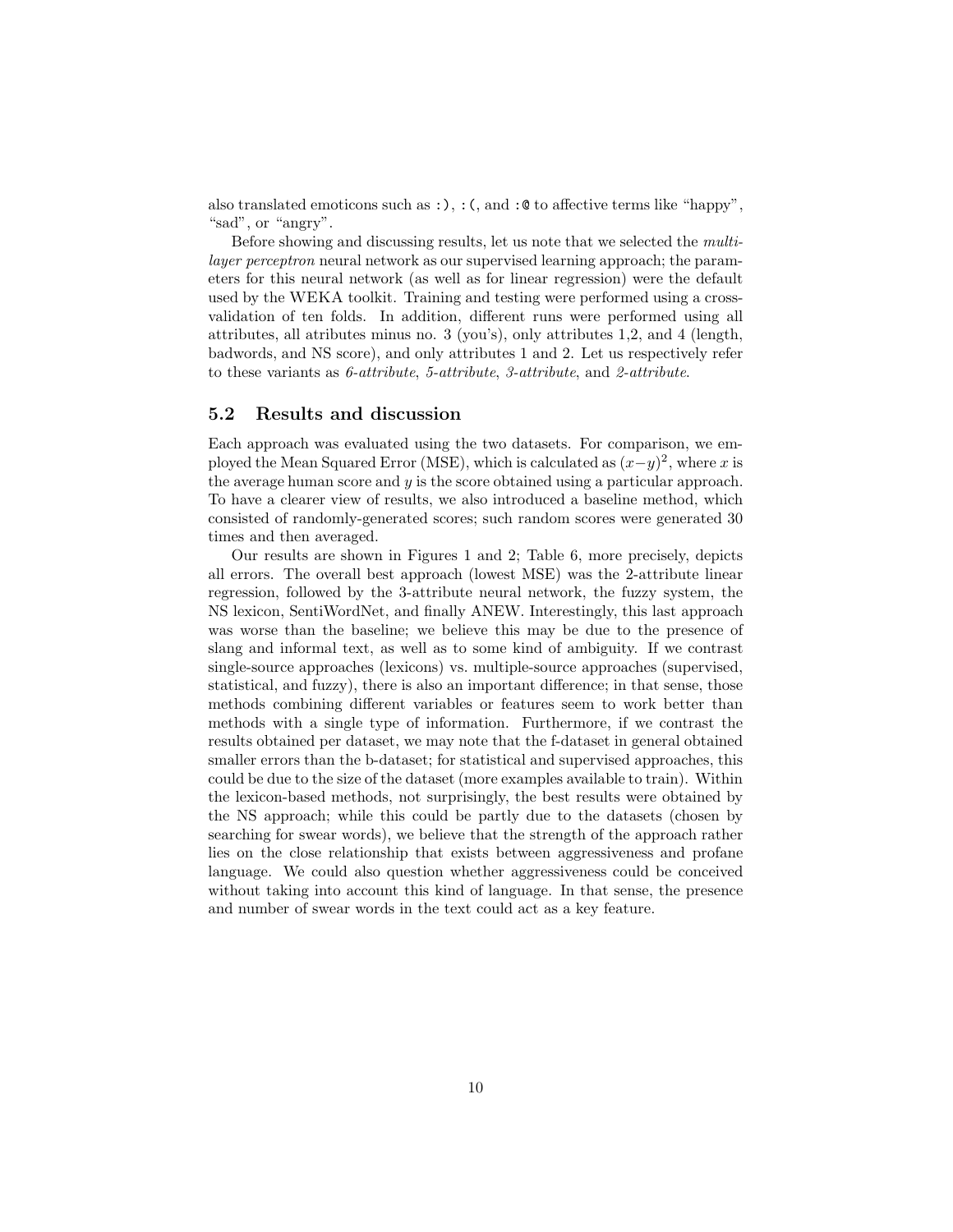also translated emoticons such as :), :(, and :@ to affective terms like "happy", "sad", or "angry".

Before showing and discussing results, let us note that we selected the multilayer perceptron neural network as our supervised learning approach; the parameters for this neural network (as well as for linear regression) were the default used by the WEKA toolkit. Training and testing were performed using a crossvalidation of ten folds. In addition, different runs were performed using all attributes, all atributes minus no. 3 (you's), only attributes 1,2, and 4 (length, badwords, and NS score), and only attributes 1 and 2. Let us respectively refer to these variants as 6-attribute, 5-attribute, 3-attribute, and 2-attribute.

#### 5.2 Results and discussion

Each approach was evaluated using the two datasets. For comparison, we employed the Mean Squared Error (MSE), which is calculated as  $(x-y)^2$ , where x is the average human score and y is the score obtained using a particular approach. To have a clearer view of results, we also introduced a baseline method, which consisted of randomly-generated scores; such random scores were generated 30 times and then averaged.

Our results are shown in Figures 1 and 2; Table 6, more precisely, depicts all errors. The overall best approach (lowest MSE) was the 2-attribute linear regression, followed by the 3-attribute neural network, the fuzzy system, the NS lexicon, SentiWordNet, and finally ANEW. Interestingly, this last approach was worse than the baseline; we believe this may be due to the presence of slang and informal text, as well as to some kind of ambiguity. If we contrast single-source approaches (lexicons) vs. multiple-source approaches (supervised, statistical, and fuzzy), there is also an important difference; in that sense, those methods combining different variables or features seem to work better than methods with a single type of information. Furthermore, if we contrast the results obtained per dataset, we may note that the f-dataset in general obtained smaller errors than the b-dataset; for statistical and supervised approaches, this could be due to the size of the dataset (more examples available to train). Within the lexicon-based methods, not surprisingly, the best results were obtained by the NS approach; while this could be partly due to the datasets (chosen by searching for swear words), we believe that the strength of the approach rather lies on the close relationship that exists between aggressiveness and profane language. We could also question whether aggressiveness could be conceived without taking into account this kind of language. In that sense, the presence and number of swear words in the text could act as a key feature.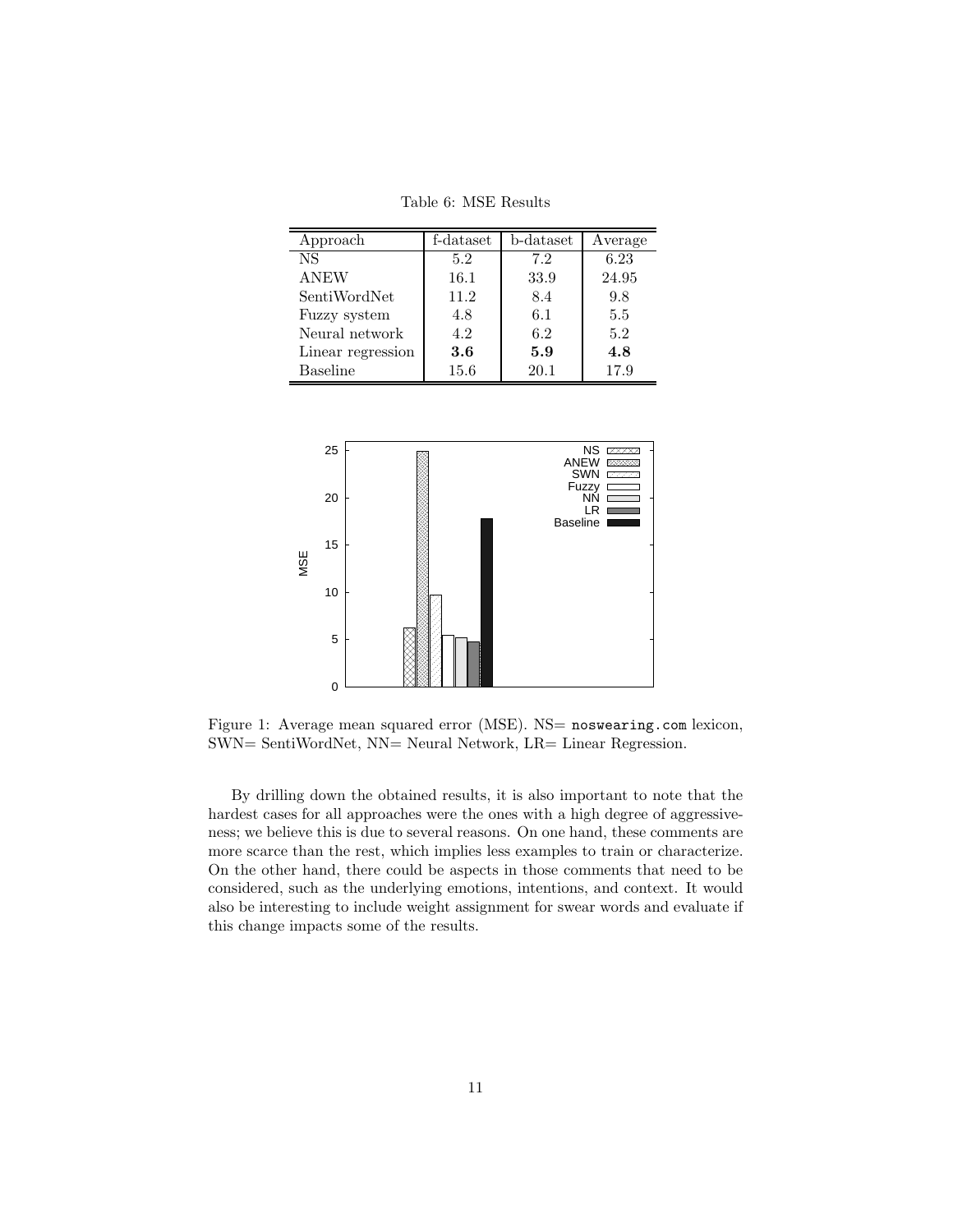Table 6: MSE Results

| Approach          | f-dataset | b-dataset | Average |
|-------------------|-----------|-----------|---------|
| <b>NS</b>         | 5.2       | 7.2       | 6.23    |
| <b>ANEW</b>       | 16.1      | 33.9      | 24.95   |
| SentiWordNet      | 11.2      | 8.4       | 9.8     |
| Fuzzy system      | 4.8       | 6.1       | 5.5     |
| Neural network    | 4.2       | 6.2       | 5.2     |
| Linear regression | 3.6       | 5.9       | 4.8     |
| <b>Baseline</b>   | 15.6      | 20.1      | 17.9    |



Figure 1: Average mean squared error (MSE). NS= noswearing.com lexicon, SWN= SentiWordNet, NN= Neural Network, LR= Linear Regression.

By drilling down the obtained results, it is also important to note that the hardest cases for all approaches were the ones with a high degree of aggressiveness; we believe this is due to several reasons. On one hand, these comments are more scarce than the rest, which implies less examples to train or characterize. On the other hand, there could be aspects in those comments that need to be considered, such as the underlying emotions, intentions, and context. It would also be interesting to include weight assignment for swear words and evaluate if this change impacts some of the results.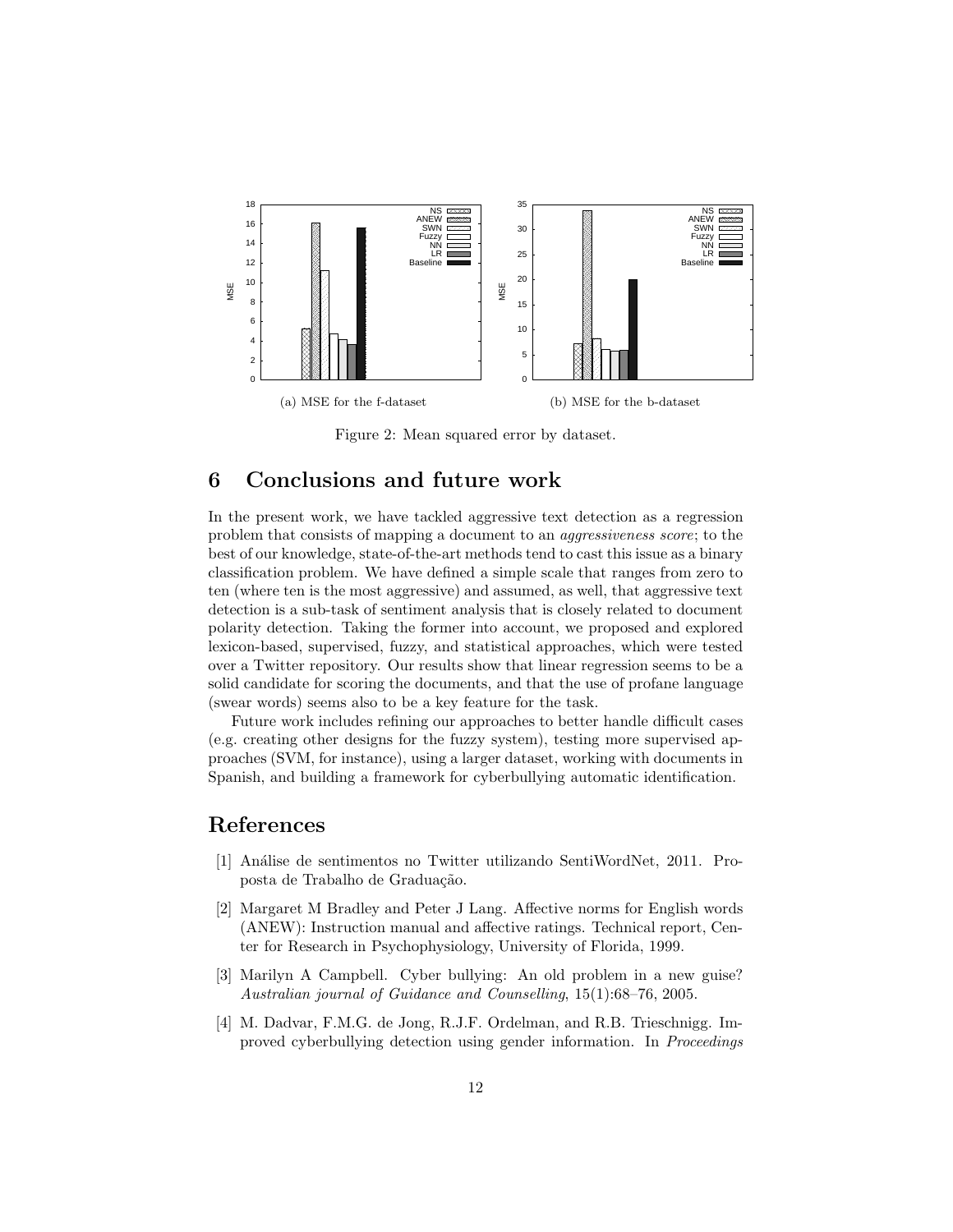

Figure 2: Mean squared error by dataset.

# 6 Conclusions and future work

In the present work, we have tackled aggressive text detection as a regression problem that consists of mapping a document to an aggressiveness score; to the best of our knowledge, state-of-the-art methods tend to cast this issue as a binary classification problem. We have defined a simple scale that ranges from zero to ten (where ten is the most aggressive) and assumed, as well, that aggressive text detection is a sub-task of sentiment analysis that is closely related to document polarity detection. Taking the former into account, we proposed and explored lexicon-based, supervised, fuzzy, and statistical approaches, which were tested over a Twitter repository. Our results show that linear regression seems to be a solid candidate for scoring the documents, and that the use of profane language (swear words) seems also to be a key feature for the task.

Future work includes refining our approaches to better handle difficult cases (e.g. creating other designs for the fuzzy system), testing more supervised approaches (SVM, for instance), using a larger dataset, working with documents in Spanish, and building a framework for cyberbullying automatic identification.

### References

- [1] An´alise de sentimentos no Twitter utilizando SentiWordNet, 2011. Proposta de Trabalho de Graduação.
- [2] Margaret M Bradley and Peter J Lang. Affective norms for English words (ANEW): Instruction manual and affective ratings. Technical report, Center for Research in Psychophysiology, University of Florida, 1999.
- [3] Marilyn A Campbell. Cyber bullying: An old problem in a new guise? Australian journal of Guidance and Counselling, 15(1):68–76, 2005.
- [4] M. Dadvar, F.M.G. de Jong, R.J.F. Ordelman, and R.B. Trieschnigg. Improved cyberbullying detection using gender information. In Proceedings